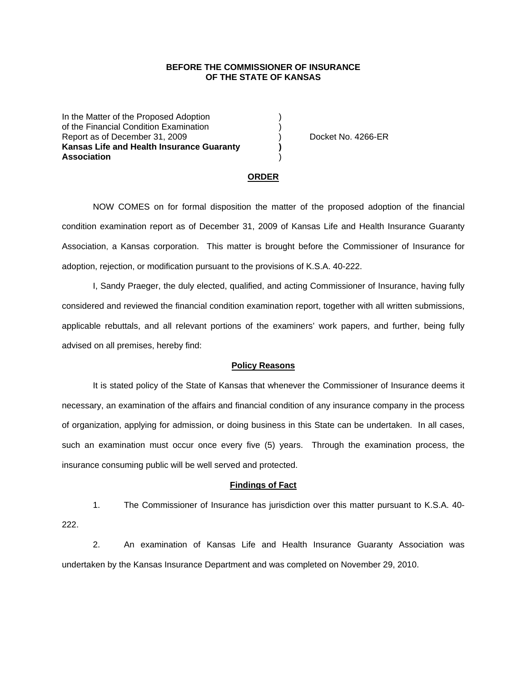## **BEFORE THE COMMISSIONER OF INSURANCE OF THE STATE OF KANSAS**

In the Matter of the Proposed Adoption of the Financial Condition Examination ) Report as of December 31, 2009 (and Contact Contact Contact Contact No. 4266-ER **Kansas Life and Health Insurance Guaranty ) Association** )

#### **ORDER**

 NOW COMES on for formal disposition the matter of the proposed adoption of the financial condition examination report as of December 31, 2009 of Kansas Life and Health Insurance Guaranty Association, a Kansas corporation. This matter is brought before the Commissioner of Insurance for adoption, rejection, or modification pursuant to the provisions of K.S.A. 40-222.

 I, Sandy Praeger, the duly elected, qualified, and acting Commissioner of Insurance, having fully considered and reviewed the financial condition examination report, together with all written submissions, applicable rebuttals, and all relevant portions of the examiners' work papers, and further, being fully advised on all premises, hereby find:

### **Policy Reasons**

 It is stated policy of the State of Kansas that whenever the Commissioner of Insurance deems it necessary, an examination of the affairs and financial condition of any insurance company in the process of organization, applying for admission, or doing business in this State can be undertaken. In all cases, such an examination must occur once every five (5) years. Through the examination process, the insurance consuming public will be well served and protected.

#### **Findings of Fact**

1. The Commissioner of Insurance has jurisdiction over this matter pursuant to K.S.A. 40- 222.

2. An examination of Kansas Life and Health Insurance Guaranty Association was undertaken by the Kansas Insurance Department and was completed on November 29, 2010.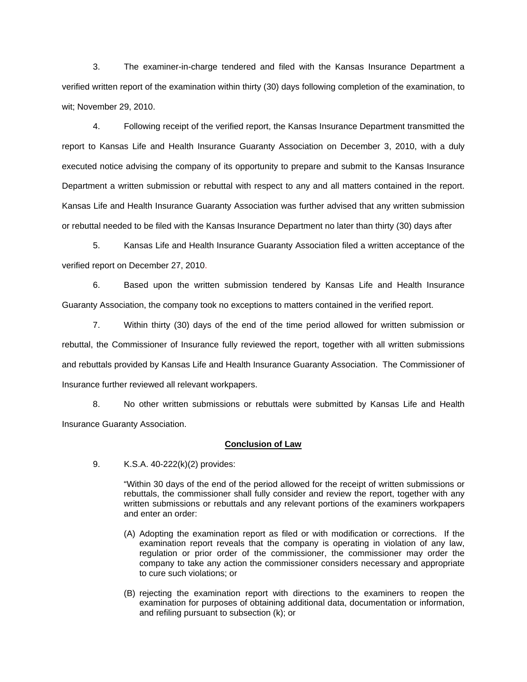3. The examiner-in-charge tendered and filed with the Kansas Insurance Department a verified written report of the examination within thirty (30) days following completion of the examination, to wit; November 29, 2010.

4. Following receipt of the verified report, the Kansas Insurance Department transmitted the report to Kansas Life and Health Insurance Guaranty Association on December 3, 2010, with a duly executed notice advising the company of its opportunity to prepare and submit to the Kansas Insurance Department a written submission or rebuttal with respect to any and all matters contained in the report. Kansas Life and Health Insurance Guaranty Association was further advised that any written submission or rebuttal needed to be filed with the Kansas Insurance Department no later than thirty (30) days after

5. Kansas Life and Health Insurance Guaranty Association filed a written acceptance of the verified report on December 27, 2010.

6. Based upon the written submission tendered by Kansas Life and Health Insurance Guaranty Association, the company took no exceptions to matters contained in the verified report.

7. Within thirty (30) days of the end of the time period allowed for written submission or rebuttal, the Commissioner of Insurance fully reviewed the report, together with all written submissions and rebuttals provided by Kansas Life and Health Insurance Guaranty Association. The Commissioner of Insurance further reviewed all relevant workpapers.

8. No other written submissions or rebuttals were submitted by Kansas Life and Health Insurance Guaranty Association.

## **Conclusion of Law**

9. K.S.A. 40-222(k)(2) provides:

"Within 30 days of the end of the period allowed for the receipt of written submissions or rebuttals, the commissioner shall fully consider and review the report, together with any written submissions or rebuttals and any relevant portions of the examiners workpapers and enter an order:

- (A) Adopting the examination report as filed or with modification or corrections. If the examination report reveals that the company is operating in violation of any law, regulation or prior order of the commissioner, the commissioner may order the company to take any action the commissioner considers necessary and appropriate to cure such violations; or
- (B) rejecting the examination report with directions to the examiners to reopen the examination for purposes of obtaining additional data, documentation or information, and refiling pursuant to subsection (k); or